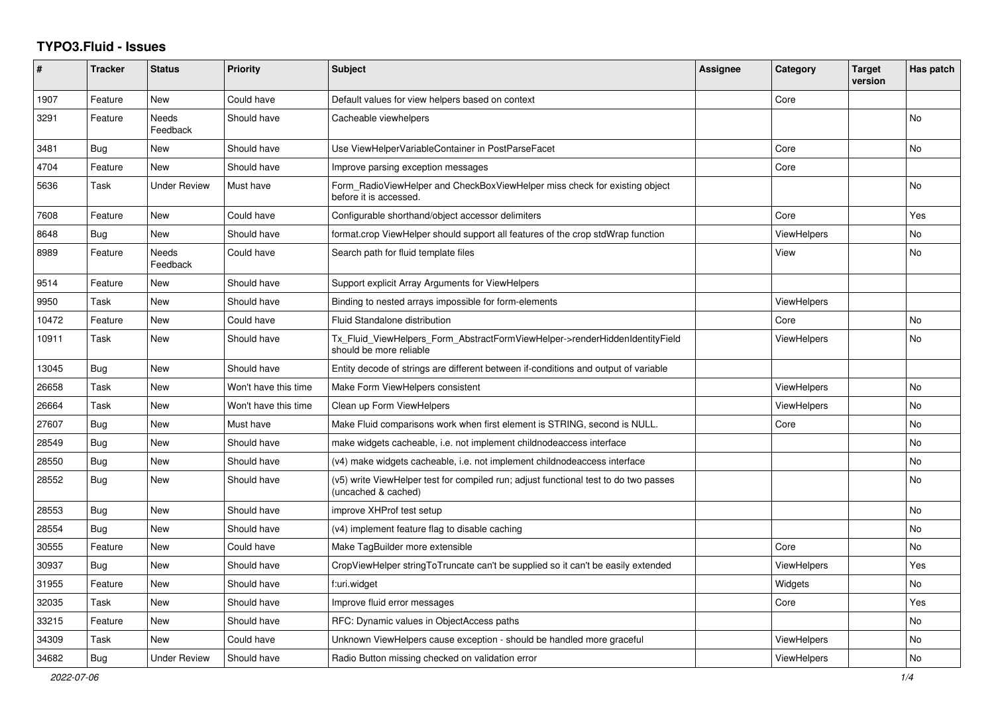## **TYPO3.Fluid - Issues**

| #     | <b>Tracker</b> | <b>Status</b>       | <b>Priority</b>      | <b>Subject</b>                                                                                              | Assignee | Category           | <b>Target</b><br>version | Has patch |
|-------|----------------|---------------------|----------------------|-------------------------------------------------------------------------------------------------------------|----------|--------------------|--------------------------|-----------|
| 1907  | Feature        | New                 | Could have           | Default values for view helpers based on context                                                            |          | Core               |                          |           |
| 3291  | Feature        | Needs<br>Feedback   | Should have          | Cacheable viewhelpers                                                                                       |          |                    |                          | <b>No</b> |
| 3481  | Bug            | New                 | Should have          | Use ViewHelperVariableContainer in PostParseFacet                                                           |          | Core               |                          | <b>No</b> |
| 4704  | Feature        | <b>New</b>          | Should have          | Improve parsing exception messages                                                                          |          | Core               |                          |           |
| 5636  | Task           | <b>Under Review</b> | Must have            | Form_RadioViewHelper and CheckBoxViewHelper miss check for existing object<br>before it is accessed.        |          |                    |                          | No        |
| 7608  | Feature        | <b>New</b>          | Could have           | Configurable shorthand/object accessor delimiters                                                           |          | Core               |                          | Yes       |
| 8648  | Bug            | <b>New</b>          | Should have          | format.crop ViewHelper should support all features of the crop stdWrap function                             |          | <b>ViewHelpers</b> |                          | <b>No</b> |
| 8989  | Feature        | Needs<br>Feedback   | Could have           | Search path for fluid template files                                                                        |          | View               |                          | <b>No</b> |
| 9514  | Feature        | <b>New</b>          | Should have          | Support explicit Array Arguments for ViewHelpers                                                            |          |                    |                          |           |
| 9950  | Task           | <b>New</b>          | Should have          | Binding to nested arrays impossible for form-elements                                                       |          | <b>ViewHelpers</b> |                          |           |
| 10472 | Feature        | New                 | Could have           | Fluid Standalone distribution                                                                               |          | Core               |                          | <b>No</b> |
| 10911 | Task           | New                 | Should have          | Tx Fluid ViewHelpers Form AbstractFormViewHelper->renderHiddenIdentityField<br>should be more reliable      |          | ViewHelpers        |                          | No        |
| 13045 | Bug            | New                 | Should have          | Entity decode of strings are different between if-conditions and output of variable                         |          |                    |                          |           |
| 26658 | Task           | New                 | Won't have this time | Make Form ViewHelpers consistent                                                                            |          | <b>ViewHelpers</b> |                          | No        |
| 26664 | Task           | New                 | Won't have this time | Clean up Form ViewHelpers                                                                                   |          | <b>ViewHelpers</b> |                          | No        |
| 27607 | Bug            | <b>New</b>          | Must have            | Make Fluid comparisons work when first element is STRING, second is NULL.                                   |          | Core               |                          | No        |
| 28549 | <b>Bug</b>     | New                 | Should have          | make widgets cacheable, i.e. not implement childnodeaccess interface                                        |          |                    |                          | <b>No</b> |
| 28550 | Bug            | <b>New</b>          | Should have          | (v4) make widgets cacheable, i.e. not implement childnodeaccess interface                                   |          |                    |                          | <b>No</b> |
| 28552 | Bug            | New                 | Should have          | (v5) write ViewHelper test for compiled run; adjust functional test to do two passes<br>(uncached & cached) |          |                    |                          | No        |
| 28553 | Bug            | New                 | Should have          | improve XHProf test setup                                                                                   |          |                    |                          | <b>No</b> |
| 28554 | Bug            | New                 | Should have          | (v4) implement feature flag to disable caching                                                              |          |                    |                          | <b>No</b> |
| 30555 | Feature        | New                 | Could have           | Make TagBuilder more extensible                                                                             |          | Core               |                          | No        |
| 30937 | Bug            | New                 | Should have          | CropViewHelper stringToTruncate can't be supplied so it can't be easily extended                            |          | ViewHelpers        |                          | Yes       |
| 31955 | Feature        | <b>New</b>          | Should have          | f:uri.widget                                                                                                |          | Widgets            |                          | <b>No</b> |
| 32035 | Task           | <b>New</b>          | Should have          | Improve fluid error messages                                                                                |          | Core               |                          | Yes       |
| 33215 | Feature        | New                 | Should have          | RFC: Dynamic values in ObjectAccess paths                                                                   |          |                    |                          | <b>No</b> |
| 34309 | Task           | New                 | Could have           | Unknown ViewHelpers cause exception - should be handled more graceful                                       |          | ViewHelpers        |                          | No        |
| 34682 | Bug            | <b>Under Review</b> | Should have          | Radio Button missing checked on validation error                                                            |          | <b>ViewHelpers</b> |                          | No        |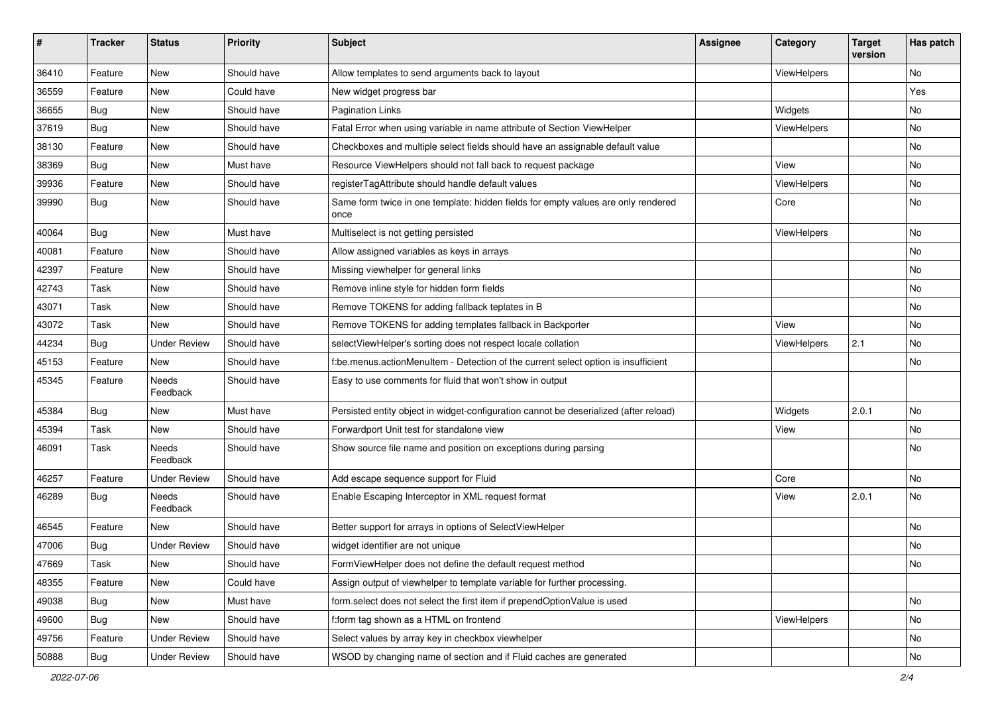| #     | <b>Tracker</b> | <b>Status</b>       | <b>Priority</b> | <b>Subject</b>                                                                            | <b>Assignee</b> | Category    | <b>Target</b><br>version | Has patch |
|-------|----------------|---------------------|-----------------|-------------------------------------------------------------------------------------------|-----------------|-------------|--------------------------|-----------|
| 36410 | Feature        | New                 | Should have     | Allow templates to send arguments back to layout                                          |                 | ViewHelpers |                          | <b>No</b> |
| 36559 | Feature        | New                 | Could have      | New widget progress bar                                                                   |                 |             |                          | Yes       |
| 36655 | Bug            | New                 | Should have     | <b>Pagination Links</b>                                                                   |                 | Widgets     |                          | No        |
| 37619 | Bug            | New                 | Should have     | Fatal Error when using variable in name attribute of Section ViewHelper                   |                 | ViewHelpers |                          | No        |
| 38130 | Feature        | New                 | Should have     | Checkboxes and multiple select fields should have an assignable default value             |                 |             |                          | No        |
| 38369 | Bug            | New                 | Must have       | Resource ViewHelpers should not fall back to request package                              |                 | View        |                          | No        |
| 39936 | Feature        | New                 | Should have     | registerTagAttribute should handle default values                                         |                 | ViewHelpers |                          | No        |
| 39990 | Bug            | New                 | Should have     | Same form twice in one template: hidden fields for empty values are only rendered<br>once |                 | Core        |                          | No        |
| 40064 | Bug            | New                 | Must have       | Multiselect is not getting persisted                                                      |                 | ViewHelpers |                          | No        |
| 40081 | Feature        | New                 | Should have     | Allow assigned variables as keys in arrays                                                |                 |             |                          | <b>No</b> |
| 42397 | Feature        | New                 | Should have     | Missing viewhelper for general links                                                      |                 |             |                          | No        |
| 42743 | Task           | New                 | Should have     | Remove inline style for hidden form fields                                                |                 |             |                          | No        |
| 43071 | Task           | New                 | Should have     | Remove TOKENS for adding fallback teplates in B                                           |                 |             |                          | No        |
| 43072 | Task           | New                 | Should have     | Remove TOKENS for adding templates fallback in Backporter                                 |                 | View        |                          | No        |
| 44234 | Bug            | <b>Under Review</b> | Should have     | selectViewHelper's sorting does not respect locale collation                              |                 | ViewHelpers | 2.1                      | No        |
| 45153 | Feature        | New                 | Should have     | f:be.menus.actionMenuItem - Detection of the current select option is insufficient        |                 |             |                          | No        |
| 45345 | Feature        | Needs<br>Feedback   | Should have     | Easy to use comments for fluid that won't show in output                                  |                 |             |                          |           |
| 45384 | Bug            | New                 | Must have       | Persisted entity object in widget-configuration cannot be deserialized (after reload)     |                 | Widgets     | 2.0.1                    | No        |
| 45394 | Task           | New                 | Should have     | Forwardport Unit test for standalone view                                                 |                 | View        |                          | No        |
| 46091 | Task           | Needs<br>Feedback   | Should have     | Show source file name and position on exceptions during parsing                           |                 |             |                          | No        |
| 46257 | Feature        | Under Review        | Should have     | Add escape sequence support for Fluid                                                     |                 | Core        |                          | No        |
| 46289 | Bug            | Needs<br>Feedback   | Should have     | Enable Escaping Interceptor in XML request format                                         |                 | View        | 2.0.1                    | No        |
| 46545 | Feature        | New                 | Should have     | Better support for arrays in options of SelectViewHelper                                  |                 |             |                          | <b>No</b> |
| 47006 | <b>Bug</b>     | <b>Under Review</b> | Should have     | widget identifier are not unique                                                          |                 |             |                          | No        |
| 47669 | Task           | New                 | Should have     | FormViewHelper does not define the default request method                                 |                 |             |                          | <b>NO</b> |
| 48355 | Feature        | New                 | Could have      | Assign output of viewhelper to template variable for further processing.                  |                 |             |                          |           |
| 49038 | <b>Bug</b>     | New                 | Must have       | form.select does not select the first item if prependOptionValue is used                  |                 |             |                          | No        |
| 49600 | Bug            | New                 | Should have     | f:form tag shown as a HTML on frontend                                                    |                 | ViewHelpers |                          | No        |
| 49756 | Feature        | <b>Under Review</b> | Should have     | Select values by array key in checkbox viewhelper                                         |                 |             |                          | No        |
| 50888 | Bug            | <b>Under Review</b> | Should have     | WSOD by changing name of section and if Fluid caches are generated                        |                 |             |                          | No        |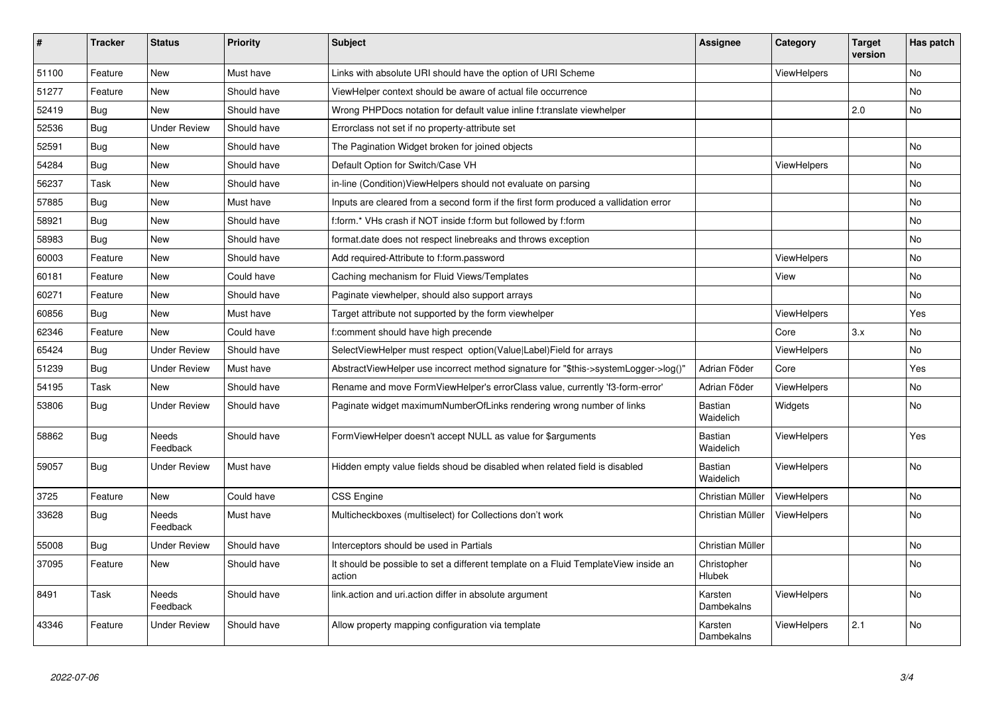| $\vert$ # | <b>Tracker</b> | <b>Status</b>            | <b>Priority</b> | <b>Subject</b>                                                                                | Assignee                    | Category           | <b>Target</b><br>version | Has patch |
|-----------|----------------|--------------------------|-----------------|-----------------------------------------------------------------------------------------------|-----------------------------|--------------------|--------------------------|-----------|
| 51100     | Feature        | New                      | Must have       | Links with absolute URI should have the option of URI Scheme                                  |                             | <b>ViewHelpers</b> |                          | <b>No</b> |
| 51277     | Feature        | New                      | Should have     | ViewHelper context should be aware of actual file occurrence                                  |                             |                    |                          | <b>No</b> |
| 52419     | <b>Bug</b>     | New                      | Should have     | Wrong PHPDocs notation for default value inline f:translate viewhelper                        |                             |                    | 2.0                      | No        |
| 52536     | Bug            | <b>Under Review</b>      | Should have     | Errorclass not set if no property-attribute set                                               |                             |                    |                          |           |
| 52591     | Bug            | New                      | Should have     | The Pagination Widget broken for joined objects                                               |                             |                    |                          | <b>No</b> |
| 54284     | <b>Bug</b>     | New                      | Should have     | Default Option for Switch/Case VH                                                             |                             | ViewHelpers        |                          | No        |
| 56237     | Task           | <b>New</b>               | Should have     | in-line (Condition) View Helpers should not evaluate on parsing                               |                             |                    |                          | No        |
| 57885     | Bug            | New                      | Must have       | Inputs are cleared from a second form if the first form produced a vallidation error          |                             |                    |                          | No        |
| 58921     | <b>Bug</b>     | New                      | Should have     | f:form.* VHs crash if NOT inside f:form but followed by f:form                                |                             |                    |                          | <b>No</b> |
| 58983     | Bug            | <b>New</b>               | Should have     | format.date does not respect linebreaks and throws exception                                  |                             |                    |                          | No        |
| 60003     | Feature        | <b>New</b>               | Should have     | Add required-Attribute to f:form.password                                                     |                             | ViewHelpers        |                          | No        |
| 60181     | Feature        | <b>New</b>               | Could have      | Caching mechanism for Fluid Views/Templates                                                   |                             | View               |                          | <b>No</b> |
| 60271     | Feature        | <b>New</b>               | Should have     | Paginate viewhelper, should also support arrays                                               |                             |                    |                          | No        |
| 60856     | Bug            | New                      | Must have       | Target attribute not supported by the form viewhelper                                         |                             | ViewHelpers        |                          | Yes       |
| 62346     | Feature        | <b>New</b>               | Could have      | f:comment should have high precende                                                           |                             | Core               | 3.x                      | <b>No</b> |
| 65424     | Bug            | <b>Under Review</b>      | Should have     | SelectViewHelper must respect option(Value Label)Field for arrays                             |                             | <b>ViewHelpers</b> |                          | <b>No</b> |
| 51239     | Bug            | <b>Under Review</b>      | Must have       | AbstractViewHelper use incorrect method signature for "\$this->systemLogger->log()"           | Adrian Föder                | Core               |                          | Yes.      |
| 54195     | Task           | New                      | Should have     | Rename and move FormViewHelper's errorClass value, currently 'f3-form-error'                  | Adrian Föder                | ViewHelpers        |                          | <b>No</b> |
| 53806     | Bug            | <b>Under Review</b>      | Should have     | Paginate widget maximumNumberOfLinks rendering wrong number of links                          | Bastian<br>Waidelich        | Widgets            |                          | <b>No</b> |
| 58862     | <b>Bug</b>     | <b>Needs</b><br>Feedback | Should have     | FormViewHelper doesn't accept NULL as value for \$arguments                                   | Bastian<br>Waidelich        | <b>ViewHelpers</b> |                          | Yes       |
| 59057     | Bug            | <b>Under Review</b>      | Must have       | Hidden empty value fields shoud be disabled when related field is disabled                    | <b>Bastian</b><br>Waidelich | <b>ViewHelpers</b> |                          | <b>No</b> |
| 3725      | Feature        | New                      | Could have      | <b>CSS Engine</b>                                                                             | Christian Müller            | ViewHelpers        |                          | <b>No</b> |
| 33628     | Bug            | Needs<br>Feedback        | Must have       | Multicheckboxes (multiselect) for Collections don't work                                      | Christian Müller            | <b>ViewHelpers</b> |                          | <b>No</b> |
| 55008     | <b>Bug</b>     | <b>Under Review</b>      | Should have     | Interceptors should be used in Partials                                                       | Christian Müller            |                    |                          | <b>No</b> |
| 37095     | Feature        | New                      | Should have     | It should be possible to set a different template on a Fluid TemplateView inside an<br>action | Christopher<br>Hlubek       |                    |                          | <b>No</b> |
| 8491      | Task           | <b>Needs</b><br>Feedback | Should have     | link.action and uri.action differ in absolute argument                                        | Karsten<br>Dambekalns       | <b>ViewHelpers</b> |                          | <b>No</b> |
| 43346     | Feature        | <b>Under Review</b>      | Should have     | Allow property mapping configuration via template                                             | Karsten<br>Dambekalns       | ViewHelpers        | 2.1                      | <b>No</b> |